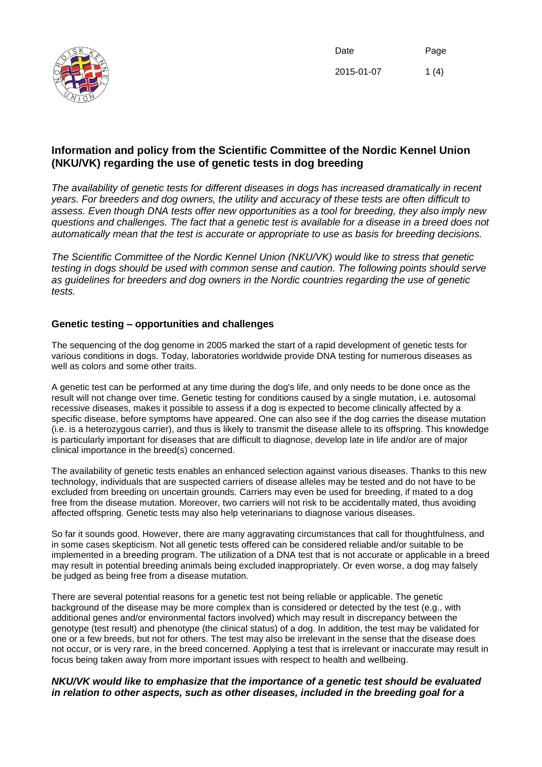

Date 2015-01-07 Page 1 $(4)$ 

# **Information and policy from the Scientific Committee of the Nordic Kennel Union (NKU/VK) regarding the use of genetic tests in dog breeding**

*The availability of genetic tests for different diseases in dogs has increased dramatically in recent years. For breeders and dog owners, the utility and accuracy of these tests are often difficult to assess. Even though DNA tests offer new opportunities as a tool for breeding, they also imply new questions and challenges. The fact that a genetic test is available for a disease in a breed does not automatically mean that the test is accurate or appropriate to use as basis for breeding decisions.*

*The Scientific Committee of the Nordic Kennel Union (NKU/VK) would like to stress that genetic testing in dogs should be used with common sense and caution. The following points should serve as guidelines for breeders and dog owners in the Nordic countries regarding the use of genetic tests.*

# **Genetic testing – opportunities and challenges**

The sequencing of the dog genome in 2005 marked the start of a rapid development of genetic tests for various conditions in dogs. Today, laboratories worldwide provide DNA testing for numerous diseases as well as colors and some other traits.

A genetic test can be performed at any time during the dog's life, and only needs to be done once as the result will not change over time. Genetic testing for conditions caused by a single mutation, i.e. autosomal recessive diseases, makes it possible to assess if a dog is expected to become clinically affected by a specific disease, before symptoms have appeared. One can also see if the dog carries the disease mutation (i.e. is a heterozygous carrier), and thus is likely to transmit the disease allele to its offspring. This knowledge is particularly important for diseases that are difficult to diagnose, develop late in life and/or are of major clinical importance in the breed(s) concerned.

The availability of genetic tests enables an enhanced selection against various diseases. Thanks to this new technology, individuals that are suspected carriers of disease alleles may be tested and do not have to be excluded from breeding on uncertain grounds. Carriers may even be used for breeding, if mated to a dog free from the disease mutation. Moreover, two carriers will not risk to be accidentally mated, thus avoiding affected offspring. Genetic tests may also help veterinarians to diagnose various diseases.

So far it sounds good. However, there are many aggravating circumstances that call for thoughtfulness, and in some cases skepticism. Not all genetic tests offered can be considered reliable and/or suitable to be implemented in a breeding program. The utilization of a DNA test that is not accurate or applicable in a breed may result in potential breeding animals being excluded inappropriately. Or even worse, a dog may falsely be judged as being free from a disease mutation.

There are several potential reasons for a genetic test not being reliable or applicable. The genetic background of the disease may be more complex than is considered or detected by the test (e.g., with additional genes and/or environmental factors involved) which may result in discrepancy between the genotype (test result) and phenotype (the clinical status) of a dog. In addition, the test may be validated for one or a few breeds, but not for others. The test may also be irrelevant in the sense that the disease does not occur, or is very rare, in the breed concerned. Applying a test that is irrelevant or inaccurate may result in focus being taken away from more important issues with respect to health and wellbeing.

# *NKU/VK would like to emphasize that the importance of a genetic test should be evaluated in relation to other aspects, such as other diseases, included in the breeding goal for a*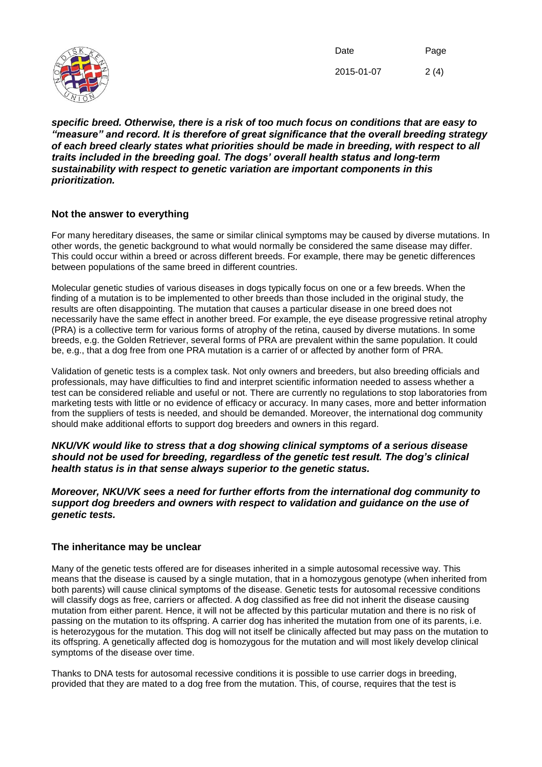

Date 2015-01-07 Page 2 (4)

*specific breed. Otherwise, there is a risk of too much focus on conditions that are easy to "measure" and record. It is therefore of great significance that the overall breeding strategy of each breed clearly states what priorities should be made in breeding, with respect to all traits included in the breeding goal. The dogs' overall health status and long-term sustainability with respect to genetic variation are important components in this prioritization.*

# **Not the answer to everything**

For many hereditary diseases, the same or similar clinical symptoms may be caused by diverse mutations. In other words, the genetic background to what would normally be considered the same disease may differ. This could occur within a breed or across different breeds. For example, there may be genetic differences between populations of the same breed in different countries.

Molecular genetic studies of various diseases in dogs typically focus on one or a few breeds. When the finding of a mutation is to be implemented to other breeds than those included in the original study, the results are often disappointing. The mutation that causes a particular disease in one breed does not necessarily have the same effect in another breed. For example, the eye disease progressive retinal atrophy (PRA) is a collective term for various forms of atrophy of the retina, caused by diverse mutations. In some breeds, e.g. the Golden Retriever, several forms of PRA are prevalent within the same population. It could be, e.g., that a dog free from one PRA mutation is a carrier of or affected by another form of PRA.

Validation of genetic tests is a complex task. Not only owners and breeders, but also breeding officials and professionals, may have difficulties to find and interpret scientific information needed to assess whether a test can be considered reliable and useful or not. There are currently no regulations to stop laboratories from marketing tests with little or no evidence of efficacy or accuracy. In many cases, more and better information from the suppliers of tests is needed, and should be demanded. Moreover, the international dog community should make additional efforts to support dog breeders and owners in this regard.

*NKU/VK would like to stress that a dog showing clinical symptoms of a serious disease should not be used for breeding, regardless of the genetic test result. The dog's clinical health status is in that sense always superior to the genetic status.*

## *Moreover, NKU/VK sees a need for further efforts from the international dog community to support dog breeders and owners with respect to validation and guidance on the use of genetic tests.*

### **The inheritance may be unclear**

Many of the genetic tests offered are for diseases inherited in a simple autosomal recessive way. This means that the disease is caused by a single mutation, that in a homozygous genotype (when inherited from both parents) will cause clinical symptoms of the disease. Genetic tests for autosomal recessive conditions will classify dogs as free, carriers or affected. A dog classified as free did not inherit the disease causing mutation from either parent. Hence, it will not be affected by this particular mutation and there is no risk of passing on the mutation to its offspring. A carrier dog has inherited the mutation from one of its parents, i.e. is heterozygous for the mutation. This dog will not itself be clinically affected but may pass on the mutation to its offspring. A genetically affected dog is homozygous for the mutation and will most likely develop clinical symptoms of the disease over time.

Thanks to DNA tests for autosomal recessive conditions it is possible to use carrier dogs in breeding, provided that they are mated to a dog free from the mutation. This, of course, requires that the test is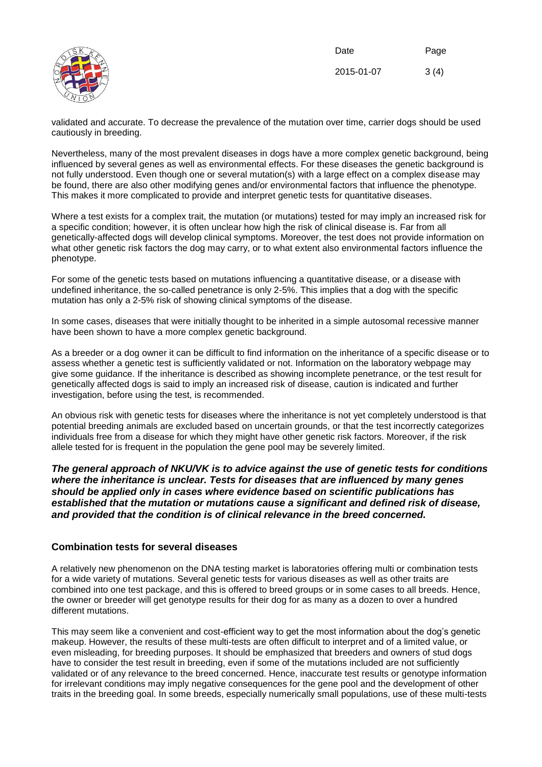

Date 2015-01-07 Page 3 (4)

validated and accurate. To decrease the prevalence of the mutation over time, carrier dogs should be used cautiously in breeding.

Nevertheless, many of the most prevalent diseases in dogs have a more complex genetic background, being influenced by several genes as well as environmental effects. For these diseases the genetic background is not fully understood. Even though one or several mutation(s) with a large effect on a complex disease may be found, there are also other modifying genes and/or environmental factors that influence the phenotype. This makes it more complicated to provide and interpret genetic tests for quantitative diseases.

Where a test exists for a complex trait, the mutation (or mutations) tested for may imply an increased risk for a specific condition; however, it is often unclear how high the risk of clinical disease is. Far from all genetically-affected dogs will develop clinical symptoms. Moreover, the test does not provide information on what other genetic risk factors the dog may carry, or to what extent also environmental factors influence the phenotype.

For some of the genetic tests based on mutations influencing a quantitative disease, or a disease with undefined inheritance, the so-called penetrance is only 2-5%. This implies that a dog with the specific mutation has only a 2-5% risk of showing clinical symptoms of the disease.

In some cases, diseases that were initially thought to be inherited in a simple autosomal recessive manner have been shown to have a more complex genetic background.

As a breeder or a dog owner it can be difficult to find information on the inheritance of a specific disease or to assess whether a genetic test is sufficiently validated or not. Information on the laboratory webpage may give some guidance. If the inheritance is described as showing incomplete penetrance, or the test result for genetically affected dogs is said to imply an increased risk of disease, caution is indicated and further investigation, before using the test, is recommended.

An obvious risk with genetic tests for diseases where the inheritance is not yet completely understood is that potential breeding animals are excluded based on uncertain grounds, or that the test incorrectly categorizes individuals free from a disease for which they might have other genetic risk factors. Moreover, if the risk allele tested for is frequent in the population the gene pool may be severely limited.

*The general approach of NKU/VK is to advice against the use of genetic tests for conditions where the inheritance is unclear. Tests for diseases that are influenced by many genes should be applied only in cases where evidence based on scientific publications has established that the mutation or mutations cause a significant and defined risk of disease, and provided that the condition is of clinical relevance in the breed concerned.*

### **Combination tests for several diseases**

A relatively new phenomenon on the DNA testing market is laboratories offering multi or combination tests for a wide variety of mutations. Several genetic tests for various diseases as well as other traits are combined into one test package, and this is offered to breed groups or in some cases to all breeds. Hence, the owner or breeder will get genotype results for their dog for as many as a dozen to over a hundred different mutations.

This may seem like a convenient and cost-efficient way to get the most information about the dog's genetic makeup. However, the results of these multi-tests are often difficult to interpret and of a limited value, or even misleading, for breeding purposes. It should be emphasized that breeders and owners of stud dogs have to consider the test result in breeding, even if some of the mutations included are not sufficiently validated or of any relevance to the breed concerned. Hence, inaccurate test results or genotype information for irrelevant conditions may imply negative consequences for the gene pool and the development of other traits in the breeding goal. In some breeds, especially numerically small populations, use of these multi-tests